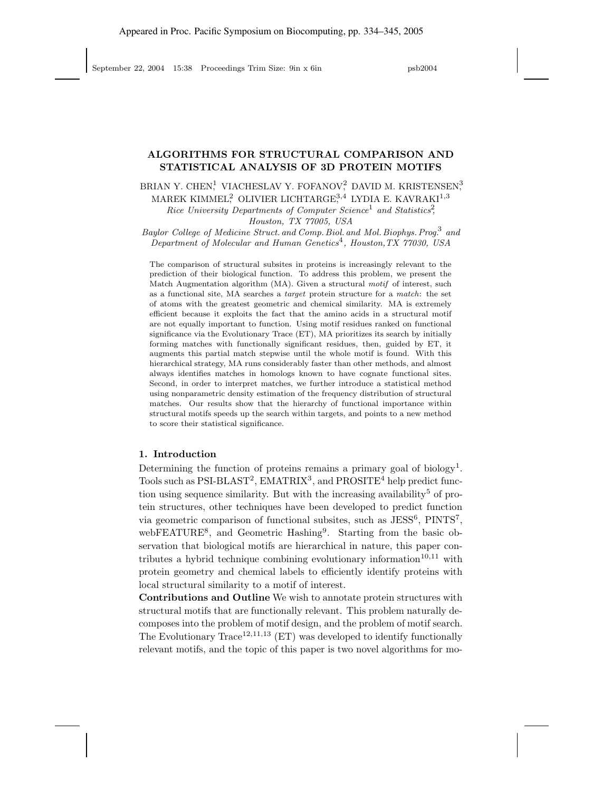# ALGORITHMS FOR STRUCTURAL COMPARISON AND STATISTICAL ANALYSIS OF 3D PROTEIN MOTIFS

BRIAN Y. CHEN<sup>1</sup>, VIACHESLAV Y. FOFANOV<sup>2</sup>, DAVID M. KRISTENSEN<sup>3</sup>,

MAREK KIMMEL $_7^2$  OLIVIER LICHTARGE $_7^{3,4}$  LYDIA E. KAVRAKI $^{1,3}$ 

Rice University Departments of Computer Science<sup>1</sup> and Statistics<sup>2</sup>,

Houston, TX 77005, USA

Baylor College of Medicine Struct. and Comp. Biol. and Mol. Biophys. Prog.<sup>3</sup> and Department of Molecular and Human Genetics<sup>4</sup>, Houston, TX 77030, USA

The comparison of structural subsites in proteins is increasingly relevant to the prediction of their biological function. To address this problem, we present the Match Augmentation algorithm (MA). Given a structural motif of interest, such as a functional site, MA searches a target protein structure for a match: the set of atoms with the greatest geometric and chemical similarity. MA is extremely efficient because it exploits the fact that the amino acids in a structural motif are not equally important to function. Using motif residues ranked on functional significance via the Evolutionary Trace (ET), MA prioritizes its search by initially forming matches with functionally significant residues, then, guided by ET, it augments this partial match stepwise until the whole motif is found. With this hierarchical strategy, MA runs considerably faster than other methods, and almost always identifies matches in homologs known to have cognate functional sites. Second, in order to interpret matches, we further introduce a statistical method using nonparametric density estimation of the frequency distribution of structural matches. Our results show that the hierarchy of functional importance within structural motifs speeds up the search within targets, and points to a new method to score their statistical significance.

## 1. Introduction

Determining the function of proteins remains a primary goal of biology<sup>1</sup>. Tools such as  $PSI-BLAST^2$ ,  $EMATRIX^3$ , and  $PROSITE^4$  help predict function using sequence similarity. But with the increasing availability<sup>5</sup> of protein structures, other techniques have been developed to predict function via geometric comparison of functional subsites, such as JESS<sup>6</sup>, PINTS<sup>7</sup>, webFEATURE<sup>8</sup>, and Geometric Hashing<sup>9</sup>. Starting from the basic observation that biological motifs are hierarchical in nature, this paper contributes a hybrid technique combining evolutionary information<sup>10,11</sup> with protein geometry and chemical labels to efficiently identify proteins with local structural similarity to a motif of interest.

Contributions and Outline We wish to annotate protein structures with structural motifs that are functionally relevant. This problem naturally decomposes into the problem of motif design, and the problem of motif search. The Evolutionary Trace<sup>12,11,13</sup> (ET) was developed to identify functionally relevant motifs, and the topic of this paper is two novel algorithms for mo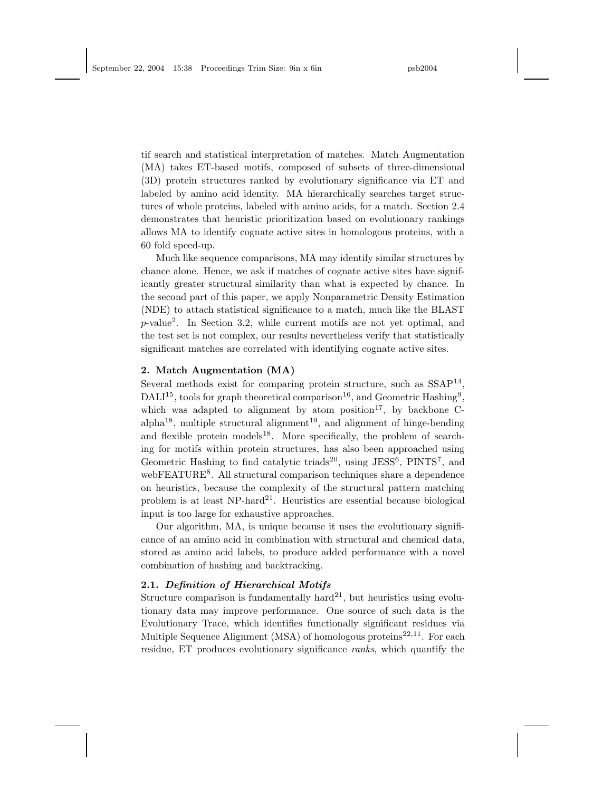tif search and statistical interpretation of matches. Match Augmentation (MA) takes ET-based motifs, composed of subsets of three-dimensional (3D) protein structures ranked by evolutionary significance via ET and labeled by amino acid identity. MA hierarchically searches target structures of whole proteins, labeled with amino acids, for a match. Section 2.4 demonstrates that heuristic prioritization based on evolutionary rankings allows MA to identify cognate active sites in homologous proteins, with a 60 fold speed-up.

Much like sequence comparisons, MA may identify similar structures by chance alone. Hence, we ask if matches of cognate active sites have significantly greater structural similarity than what is expected by chance. In the second part of this paper, we apply Nonparametric Density Estimation (NDE) to attach statistical significance to a match, much like the BLAST p-value<sup>2</sup> . In Section 3.2, while current motifs are not yet optimal, and the test set is not complex, our results nevertheless verify that statistically significant matches are correlated with identifying cognate active sites.

#### 2. Match Augmentation (MA)

Several methods exist for comparing protein structure, such as  $SSAP<sup>14</sup>$ ,  $\text{DALI}^{15}$ , tools for graph theoretical comparison<sup>16</sup>, and Geometric Hashing<sup>9</sup>, which was adapted to alignment by atom position<sup>17</sup>, by backbone Calpha<sup>18</sup> , multiple structural alignment 19 , and alignment of hinge-bending and flexible protein models<sup>18</sup>. More specifically, the problem of searching for motifs within protein structures, has also been approached using Geometric Hashing to find catalytic triads<sup>20</sup>, using JESS<sup>6</sup>, PINTS<sup>7</sup>, and webFEATURE<sup>8</sup>. All structural comparison techniques share a dependence on heuristics, because the complexity of the structural pattern matching problem is at least  $NP$ -hard<sup>21</sup>. Heuristics are essential because biological input is too large for exhaustive approaches.

Our algorithm, MA, is unique because it uses the evolutionary significance of an amino acid in combination with structural and chemical data, stored as amino acid labels, to produce added performance with a novel combination of hashing and backtracking.

#### 2.1. Definition of Hierarchical Motifs

Structure comparison is fundamentally hard<sup>21</sup>, but heuristics using evolutionary data may improve performance. One source of such data is the Evolutionary Trace, which identifies functionally significant residues via Multiple Sequence Alignment (MSA) of homologous proteins<sup>22,11</sup>. For each residue, ET produces evolutionary significance ranks, which quantify the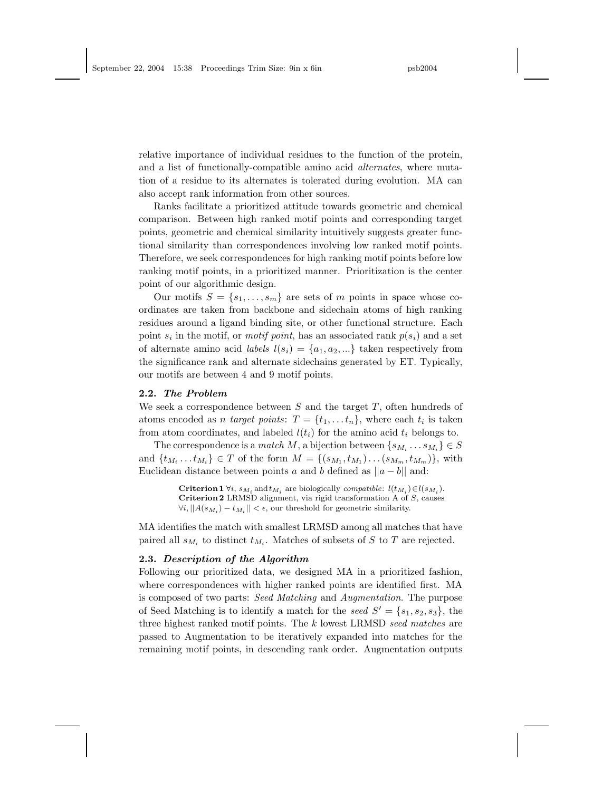relative importance of individual residues to the function of the protein, and a list of functionally-compatible amino acid alternates, where mutation of a residue to its alternates is tolerated during evolution. MA can also accept rank information from other sources.

Ranks facilitate a prioritized attitude towards geometric and chemical comparison. Between high ranked motif points and corresponding target points, geometric and chemical similarity intuitively suggests greater functional similarity than correspondences involving low ranked motif points. Therefore, we seek correspondences for high ranking motif points before low ranking motif points, in a prioritized manner. Prioritization is the center point of our algorithmic design.

Our motifs  $S = \{s_1, \ldots, s_m\}$  are sets of m points in space whose coordinates are taken from backbone and sidechain atoms of high ranking residues around a ligand binding site, or other functional structure. Each point  $s_i$  in the motif, or *motif point*, has an associated rank  $p(s_i)$  and a set of alternate amino acid *labels*  $l(s_i) = \{a_1, a_2, ...\}$  taken respectively from the significance rank and alternate sidechains generated by ET. Typically, our motifs are between 4 and 9 motif points.

## 2.2. The Problem

We seek a correspondence between  $S$  and the target  $T$ , often hundreds of atoms encoded as *n* target points:  $T = \{t_1, \ldots, t_n\}$ , where each  $t_i$  is taken from atom coordinates, and labeled  $l(t_i)$  for the amino acid  $t_i$  belongs to.

The correspondence is a *match* M, a bijection between  $\{s_{M_i} \dots s_{M_i}\} \in S$ and  $\{t_{M_i} \dots t_{M_i}\} \in T$  of the form  $M = \{(s_{M_1}, t_{M_1}) \dots (s_{M_m}, t_{M_m})\}$ , with Euclidean distance between points a and b defined as  $||a - b||$  and:

> **Criterion 1**  $\forall i$ ,  $s_{M_i}$  and  $t_{M_i}$  are biologically *compatible:*  $l(t_{M_i}) \in l(s_{M_i})$ . Criterion 2 LRMSD alignment, via rigid transformation A of  $S$ , causes  $\forall i, ||A(s_{M_i}) - t_{M_i}|| < \epsilon$ , our threshold for geometric similarity.

MA identifies the match with smallest LRMSD among all matches that have paired all  $s_{M_i}$  to distinct  $t_{M_i}$ . Matches of subsets of S to T are rejected.

### 2.3. Description of the Algorithm

Following our prioritized data, we designed MA in a prioritized fashion, where correspondences with higher ranked points are identified first. MA is composed of two parts: Seed Matching and Augmentation. The purpose of Seed Matching is to identify a match for the seed  $S' = \{s_1, s_2, s_3\}$ , the three highest ranked motif points. The  $k$  lowest LRMSD seed matches are passed to Augmentation to be iteratively expanded into matches for the remaining motif points, in descending rank order. Augmentation outputs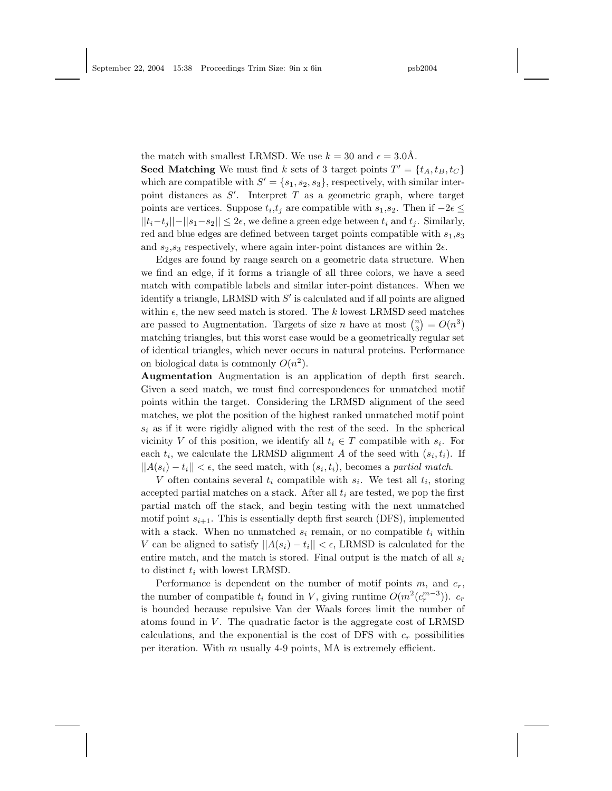the match with smallest LRMSD. We use  $k = 30$  and  $\epsilon = 3.0\text{\AA}$ . **Seed Matching** We must find k sets of 3 target points  $T' = \{t_A, t_B, t_C\}$ which are compatible with  $S' = \{s_1, s_2, s_3\}$ , respectively, with similar interpoint distances as  $S'$ . Interpret T as a geometric graph, where target points are vertices. Suppose  $t_i, t_j$  are compatible with  $s_1, s_2$ . Then if  $-2\epsilon \leq$  $||t_i-t_i||-||s_1-s_2|| \leq 2\epsilon$ , we define a green edge between  $t_i$  and  $t_j$ . Similarly, red and blue edges are defined between target points compatible with  $s_1, s_3$ and  $s_2,s_3$  respectively, where again inter-point distances are within  $2\epsilon$ .

Edges are found by range search on a geometric data structure. When we find an edge, if it forms a triangle of all three colors, we have a seed match with compatible labels and similar inter-point distances. When we identify a triangle, LRMSD with  $S'$  is calculated and if all points are aligned within  $\epsilon$ , the new seed match is stored. The k lowest LRMSD seed matches are passed to Augmentation. Targets of size n have at most  $\binom{n}{3} = O(n^3)$ matching triangles, but this worst case would be a geometrically regular set of identical triangles, which never occurs in natural proteins. Performance on biological data is commonly  $O(n^2)$ .

Augmentation Augmentation is an application of depth first search. Given a seed match, we must find correspondences for unmatched motif points within the target. Considering the LRMSD alignment of the seed matches, we plot the position of the highest ranked unmatched motif point  $s_i$  as if it were rigidly aligned with the rest of the seed. In the spherical vicinity V of this position, we identify all  $t_i \in T$  compatible with  $s_i$ . For each  $t_i$ , we calculate the LRMSD alignment A of the seed with  $(s_i, t_i)$ . If  $||A(s_i) - t_i|| < \epsilon$ , the seed match, with  $(s_i, t_i)$ , becomes a partial match.

V often contains several  $t_i$  compatible with  $s_i$ . We test all  $t_i$ , storing accepted partial matches on a stack. After all  $t_i$  are tested, we pop the first partial match off the stack, and begin testing with the next unmatched motif point  $s_{i+1}$ . This is essentially depth first search (DFS), implemented with a stack. When no unmatched  $s_i$  remain, or no compatible  $t_i$  within V can be aligned to satisfy  $||A(s_i) - t_i|| < \epsilon$ , LRMSD is calculated for the entire match, and the match is stored. Final output is the match of all  $s_i$ to distinct  $t_i$  with lowest LRMSD.

Performance is dependent on the number of motif points  $m$ , and  $c_r$ , the number of compatible  $t_i$  found in V, giving runtime  $O(m^2(c_r^{m-3}))$ .  $c_r$ is bounded because repulsive Van der Waals forces limit the number of atoms found in  $V$ . The quadratic factor is the aggregate cost of LRMSD calculations, and the exponential is the cost of DFS with  $c_r$  possibilities per iteration. With  $m$  usually 4-9 points, MA is extremely efficient.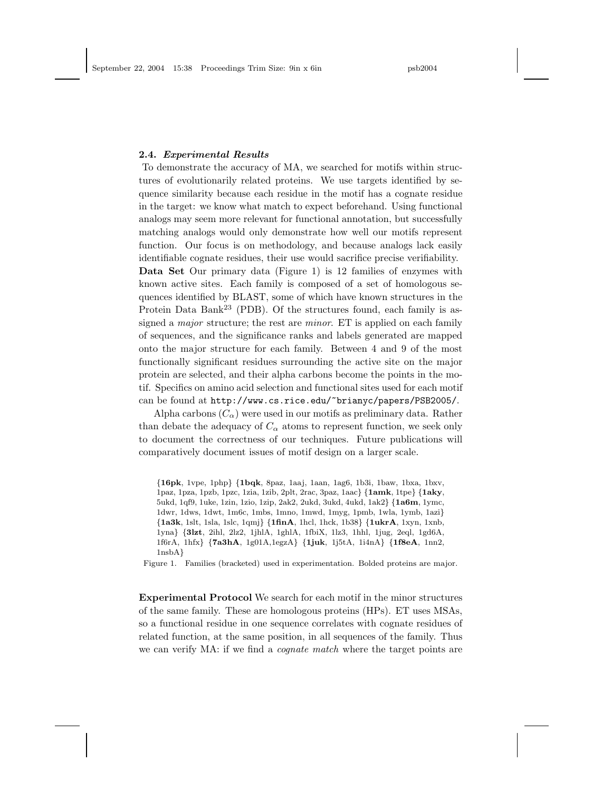#### 2.4. Experimental Results

To demonstrate the accuracy of MA, we searched for motifs within structures of evolutionarily related proteins. We use targets identified by sequence similarity because each residue in the motif has a cognate residue in the target: we know what match to expect beforehand. Using functional analogs may seem more relevant for functional annotation, but successfully matching analogs would only demonstrate how well our motifs represent function. Our focus is on methodology, and because analogs lack easily identifiable cognate residues, their use would sacrifice precise verifiability. Data Set Our primary data (Figure 1) is 12 families of enzymes with known active sites. Each family is composed of a set of homologous sequences identified by BLAST, some of which have known structures in the Protein Data Bank<sup>23</sup> (PDB). Of the structures found, each family is assigned a *major* structure; the rest are *minor*. ET is applied on each family of sequences, and the significance ranks and labels generated are mapped onto the major structure for each family. Between 4 and 9 of the most functionally significant residues surrounding the active site on the major protein are selected, and their alpha carbons become the points in the motif. Specifics on amino acid selection and functional sites used for each motif can be found at http://www.cs.rice.edu/~brianyc/papers/PSB2005/.

Alpha carbons  $(C_{\alpha})$  were used in our motifs as preliminary data. Rather than debate the adequacy of  $C_{\alpha}$  atoms to represent function, we seek only to document the correctness of our techniques. Future publications will comparatively document issues of motif design on a larger scale.

Figure 1. Families (bracketed) used in experimentation. Bolded proteins are major.

Experimental Protocol We search for each motif in the minor structures of the same family. These are homologous proteins (HPs). ET uses MSAs, so a functional residue in one sequence correlates with cognate residues of related function, at the same position, in all sequences of the family. Thus we can verify MA: if we find a *cognate match* where the target points are

<sup>{</sup>16pk, 1vpe, 1php} {1bqk, 8paz, 1aaj, 1aan, 1ag6, 1b3i, 1baw, 1bxa, 1bxv, 1paz, 1pza, 1pzb, 1pzc, 1zia, 1zib, 2plt, 2rac, 3paz, 1aac} {1amk, 1tpe} {1aky, 5ukd, 1qf9, 1uke, 1zin, 1zio, 1zip, 2ak2, 2ukd, 3ukd, 4ukd, 1ak2} {1a6m, 1ymc, 1dwr, 1dws, 1dwt, 1m6c, 1mbs, 1mno, 1mwd, 1myg, 1pmb, 1wla, 1ymb, 1azi} {1a3k, 1slt, 1sla, 1slc, 1qmj} {1finA, 1hcl, 1hck, 1b38} {1ukrA, 1xyn, 1xnb, 1yna} {3lzt, 2ihl, 2lz2, 1jhlA, 1ghlA, 1fbiX, 1lz3, 1hhl, 1jug, 2eql, 1gd6A, 1f6rA, 1hfx} {7a3hA, 1g01A,1egzA} {1juk, 1j5tA, 1i4nA} {1f8eA, 1nn2, 1nsbA}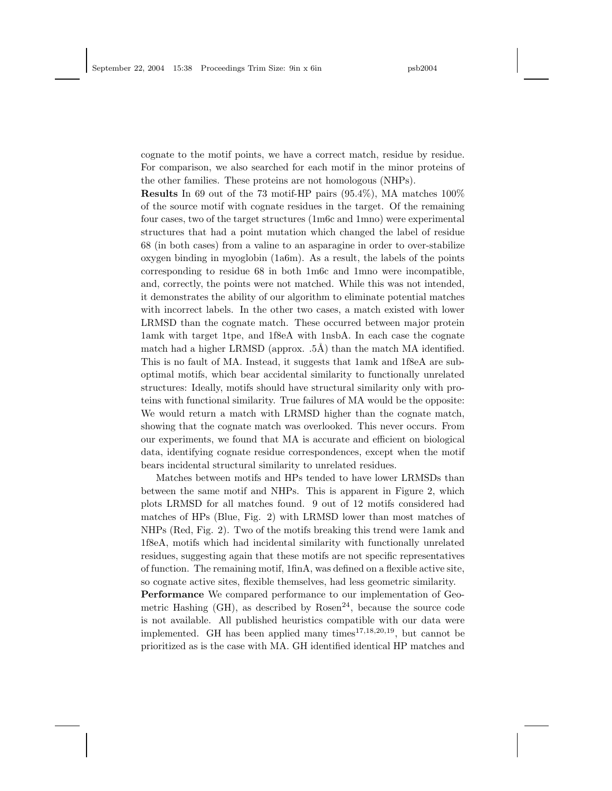cognate to the motif points, we have a correct match, residue by residue. For comparison, we also searched for each motif in the minor proteins of the other families. These proteins are not homologous (NHPs).

Results In 69 out of the 73 motif-HP pairs (95.4%), MA matches 100% of the source motif with cognate residues in the target. Of the remaining four cases, two of the target structures (1m6c and 1mno) were experimental structures that had a point mutation which changed the label of residue 68 (in both cases) from a valine to an asparagine in order to over-stabilize oxygen binding in myoglobin (1a6m). As a result, the labels of the points corresponding to residue 68 in both 1m6c and 1mno were incompatible, and, correctly, the points were not matched. While this was not intended, it demonstrates the ability of our algorithm to eliminate potential matches with incorrect labels. In the other two cases, a match existed with lower LRMSD than the cognate match. These occurred between major protein 1amk with target 1tpe, and 1f8eA with 1nsbA. In each case the cognate match had a higher LRMSD (approx.  $.5\text{\AA}$ ) than the match MA identified. This is no fault of MA. Instead, it suggests that 1amk and 1f8eA are suboptimal motifs, which bear accidental similarity to functionally unrelated structures: Ideally, motifs should have structural similarity only with proteins with functional similarity. True failures of MA would be the opposite: We would return a match with LRMSD higher than the cognate match, showing that the cognate match was overlooked. This never occurs. From our experiments, we found that MA is accurate and efficient on biological data, identifying cognate residue correspondences, except when the motif bears incidental structural similarity to unrelated residues.

Matches between motifs and HPs tended to have lower LRMSDs than between the same motif and NHPs. This is apparent in Figure 2, which plots LRMSD for all matches found. 9 out of 12 motifs considered had matches of HPs (Blue, Fig. 2) with LRMSD lower than most matches of NHPs (Red, Fig. 2). Two of the motifs breaking this trend were 1amk and 1f8eA, motifs which had incidental similarity with functionally unrelated residues, suggesting again that these motifs are not specific representatives of function. The remaining motif, 1finA, was defined on a flexible active site, so cognate active sites, flexible themselves, had less geometric similarity.

Performance We compared performance to our implementation of Geometric Hashing (GH), as described by  $Rosen^{24}$ , because the source code is not available. All published heuristics compatible with our data were implemented. GH has been applied many times $17,18,20,19$ , but cannot be prioritized as is the case with MA. GH identified identical HP matches and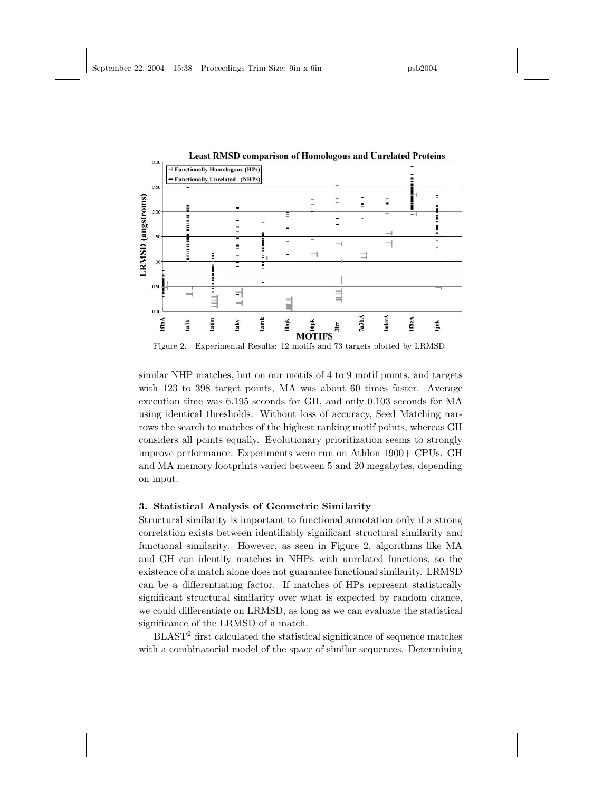

similar NHP matches, but on our motifs of 4 to 9 motif points, and targets with 123 to 398 target points, MA was about 60 times faster. Average execution time was 6.195 seconds for GH, and only 0.103 seconds for MA using identical thresholds. Without loss of accuracy, Seed Matching narrows the search to matches of the highest ranking motif points, whereas GH considers all points equally. Evolutionary prioritization seems to strongly improve performance. Experiments were run on Athlon 1900+ CPUs. GH and MA memory footprints varied between 5 and 20 megabytes, depending on input.

## 3. Statistical Analysis of Geometric Similarity

Structural similarity is important to functional annotation only if a strong correlation exists between identifiably significant structural similarity and functional similarity. However, as seen in Figure 2, algorithms like MA and GH can identify matches in NHPs with unrelated functions, so the existence of a match alone does not guarantee functional similarity. LRMSD can be a differentiating factor. If matches of HPs represent statistically significant structural similarity over what is expected by random chance, we could differentiate on LRMSD, as long as we can evaluate the statistical significance of the LRMSD of a match.

 $BLAST<sup>2</sup>$  first calculated the statistical significance of sequence matches with a combinatorial model of the space of similar sequences. Determining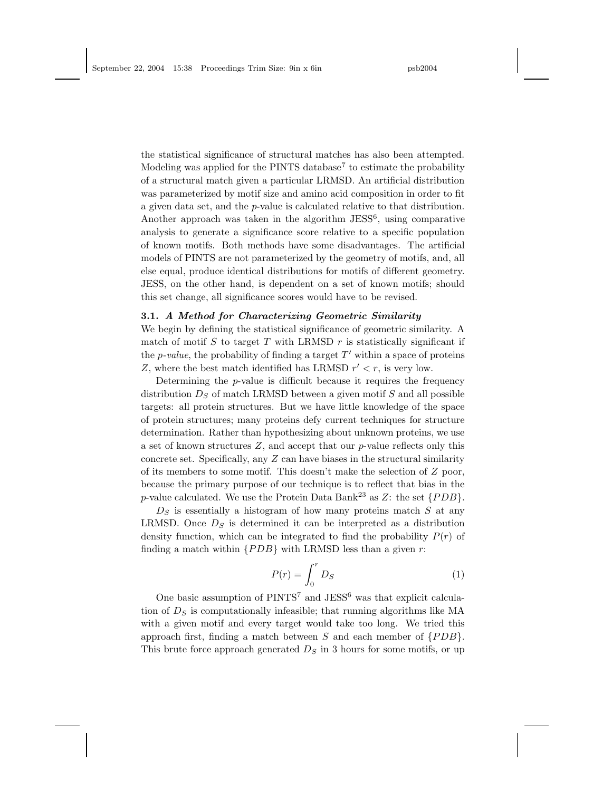the statistical significance of structural matches has also been attempted. Modeling was applied for the PINTS database<sup>7</sup> to estimate the probability of a structural match given a particular LRMSD. An artificial distribution was parameterized by motif size and amino acid composition in order to fit a given data set, and the p-value is calculated relative to that distribution. Another approach was taken in the algorithm  $JESS^6$ , using comparative analysis to generate a significance score relative to a specific population of known motifs. Both methods have some disadvantages. The artificial models of PINTS are not parameterized by the geometry of motifs, and, all else equal, produce identical distributions for motifs of different geometry. JESS, on the other hand, is dependent on a set of known motifs; should this set change, all significance scores would have to be revised.

## 3.1. A Method for Characterizing Geometric Similarity

We begin by defining the statistical significance of geometric similarity. A match of motif S to target T with LRMSD r is statistically significant if the *p*-value, the probability of finding a target  $T'$  within a space of proteins Z, where the best match identified has LRMSD  $r' < r$ , is very low.

Determining the  $p$ -value is difficult because it requires the frequency distribution  $D<sub>S</sub>$  of match LRMSD between a given motif  $S$  and all possible targets: all protein structures. But we have little knowledge of the space of protein structures; many proteins defy current techniques for structure determination. Rather than hypothesizing about unknown proteins, we use a set of known structures  $Z$ , and accept that our  $p$ -value reflects only this concrete set. Specifically, any  $Z$  can have biases in the structural similarity of its members to some motif. This doesn't make the selection of  $Z$  poor, because the primary purpose of our technique is to reflect that bias in the p-value calculated. We use the Protein Data Bank<sup>23</sup> as Z: the set  $\{PDB\}$ .

 $D<sub>S</sub>$  is essentially a histogram of how many proteins match  $S$  at any LRMSD. Once  $D<sub>S</sub>$  is determined it can be interpreted as a distribution density function, which can be integrated to find the probability  $P(r)$  of finding a match within  $\{PDB\}$  with LRMSD less than a given r:

$$
P(r) = \int_0^r D_S \tag{1}
$$

One basic assumption of  $PINTS<sup>7</sup>$  and  $JESS<sup>6</sup>$  was that explicit calculation of  $D<sub>S</sub>$  is computationally infeasible; that running algorithms like MA with a given motif and every target would take too long. We tried this approach first, finding a match between  $S$  and each member of  $\{PDB\}$ . This brute force approach generated  $D<sub>S</sub>$  in 3 hours for some motifs, or up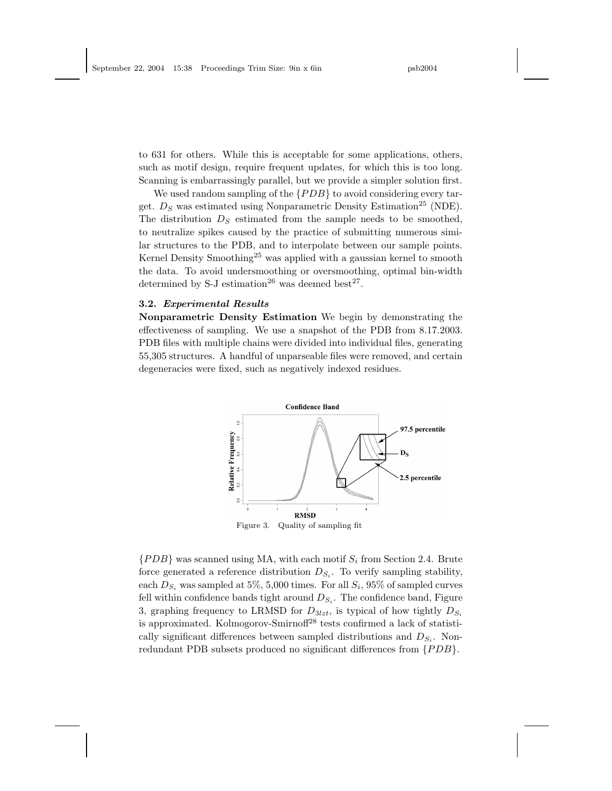to 631 for others. While this is acceptable for some applications, others, such as motif design, require frequent updates, for which this is too long. Scanning is embarrassingly parallel, but we provide a simpler solution first.

We used random sampling of the  $\{PDB\}$  to avoid considering every target.  $D<sub>S</sub>$  was estimated using Nonparametric Density Estimation<sup>25</sup> (NDE). The distribution  $D<sub>S</sub>$  estimated from the sample needs to be smoothed, to neutralize spikes caused by the practice of submitting numerous similar structures to the PDB, and to interpolate between our sample points. Kernel Density Smoothing<sup>25</sup> was applied with a gaussian kernel to smooth the data. To avoid undersmoothing or oversmoothing, optimal bin-width determined by S-J estimation<sup>26</sup> was deemed best<sup>27</sup>.

## 3.2. Experimental Results

Nonparametric Density Estimation We begin by demonstrating the effectiveness of sampling. We use a snapshot of the PDB from 8.17.2003. PDB files with multiple chains were divided into individual files, generating 55,305 structures. A handful of unparseable files were removed, and certain degeneracies were fixed, such as negatively indexed residues.



 ${PDB}$  was scanned using MA, with each motif  $S_i$  from Section 2.4. Brute force generated a reference distribution  $D_{S_i}$ . To verify sampling stability, each  $D_{S_i}$  was sampled at 5%, 5,000 times. For all  $S_i$ , 95% of sampled curves fell within confidence bands tight around  $D_{S_i}$ . The confidence band, Figure 3, graphing frequency to LRMSD for  $D_{3lzt}$ , is typical of how tightly  $D_{S_i}$ is approximated. Kolmogorov-Smirnoff<sup>28</sup> tests confirmed a lack of statistically significant differences between sampled distributions and  $D_{S_i}$ . Nonredundant PDB subsets produced no significant differences from  $\{PDB\}$ .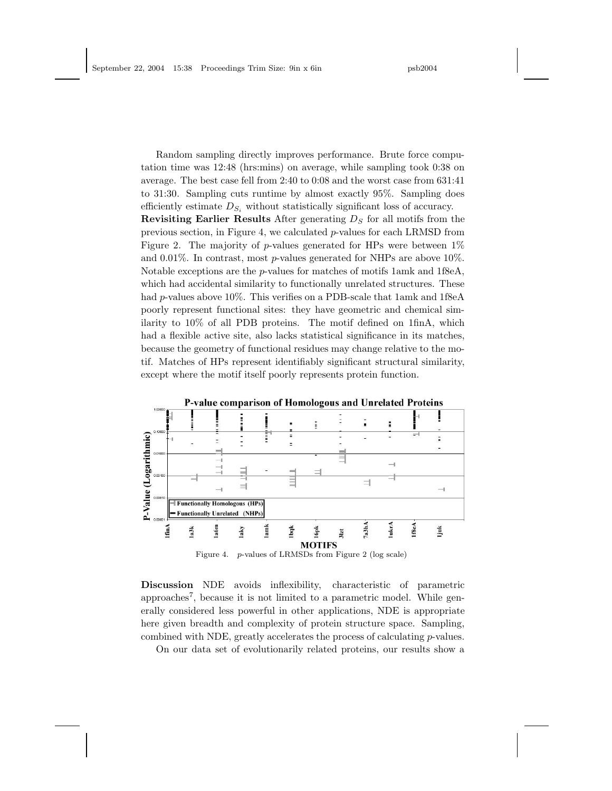Random sampling directly improves performance. Brute force computation time was 12:48 (hrs:mins) on average, while sampling took 0:38 on average. The best case fell from 2:40 to 0:08 and the worst case from 631:41 to 31:30. Sampling cuts runtime by almost exactly 95%. Sampling does efficiently estimate  $D_{S_i}$  without statistically significant loss of accuracy.

Revisiting Earlier Results After generating  $D<sub>S</sub>$  for all motifs from the previous section, in Figure 4, we calculated p-values for each LRMSD from Figure 2. The majority of p-values generated for HPs were between  $1\%$ and  $0.01\%$ . In contrast, most p-values generated for NHPs are above 10%. Notable exceptions are the *p*-values for matches of motifs  $1amk$  and  $1f8eA$ , which had accidental similarity to functionally unrelated structures. These had p-values above 10%. This verifies on a PDB-scale that 1amk and 1f8eA poorly represent functional sites: they have geometric and chemical similarity to 10% of all PDB proteins. The motif defined on 1finA, which had a flexible active site, also lacks statistical significance in its matches, because the geometry of functional residues may change relative to the motif. Matches of HPs represent identifiably significant structural similarity, except where the motif itself poorly represents protein function.



Discussion NDE avoids inflexibility, characteristic of parametric approaches<sup>7</sup>, because it is not limited to a parametric model. While generally considered less powerful in other applications, NDE is appropriate here given breadth and complexity of protein structure space. Sampling, combined with NDE, greatly accelerates the process of calculating  $p$ -values.

On our data set of evolutionarily related proteins, our results show a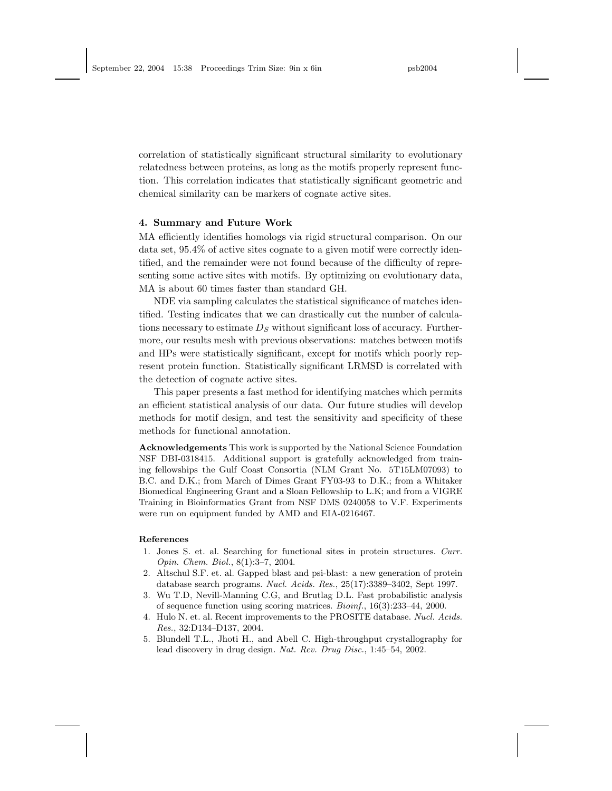correlation of statistically significant structural similarity to evolutionary relatedness between proteins, as long as the motifs properly represent function. This correlation indicates that statistically significant geometric and chemical similarity can be markers of cognate active sites.

#### 4. Summary and Future Work

MA efficiently identifies homologs via rigid structural comparison. On our data set, 95.4% of active sites cognate to a given motif were correctly identified, and the remainder were not found because of the difficulty of representing some active sites with motifs. By optimizing on evolutionary data, MA is about 60 times faster than standard GH.

NDE via sampling calculates the statistical significance of matches identified. Testing indicates that we can drastically cut the number of calculations necessary to estimate  $D<sub>S</sub>$  without significant loss of accuracy. Furthermore, our results mesh with previous observations: matches between motifs and HPs were statistically significant, except for motifs which poorly represent protein function. Statistically significant LRMSD is correlated with the detection of cognate active sites.

This paper presents a fast method for identifying matches which permits an efficient statistical analysis of our data. Our future studies will develop methods for motif design, and test the sensitivity and specificity of these methods for functional annotation.

Acknowledgements This work is supported by the National Science Foundation NSF DBI-0318415. Additional support is gratefully acknowledged from training fellowships the Gulf Coast Consortia (NLM Grant No. 5T15LM07093) to B.C. and D.K.; from March of Dimes Grant FY03-93 to D.K.; from a Whitaker Biomedical Engineering Grant and a Sloan Fellowship to L.K; and from a VIGRE Training in Bioinformatics Grant from NSF DMS 0240058 to V.F. Experiments were run on equipment funded by AMD and EIA-0216467.

#### References

- 1. Jones S. et. al. Searching for functional sites in protein structures. Curr. Opin. Chem. Biol., 8(1):3–7, 2004.
- 2. Altschul S.F. et. al. Gapped blast and psi-blast: a new generation of protein database search programs. Nucl. Acids. Res., 25(17):3389–3402, Sept 1997.
- 3. Wu T.D, Nevill-Manning C.G, and Brutlag D.L. Fast probabilistic analysis of sequence function using scoring matrices. Bioinf., 16(3):233–44, 2000.
- 4. Hulo N. et. al. Recent improvements to the PROSITE database. Nucl. Acids. Res., 32:D134–D137, 2004.
- 5. Blundell T.L., Jhoti H., and Abell C. High-throughput crystallography for lead discovery in drug design. Nat. Rev. Drug Disc., 1:45–54, 2002.